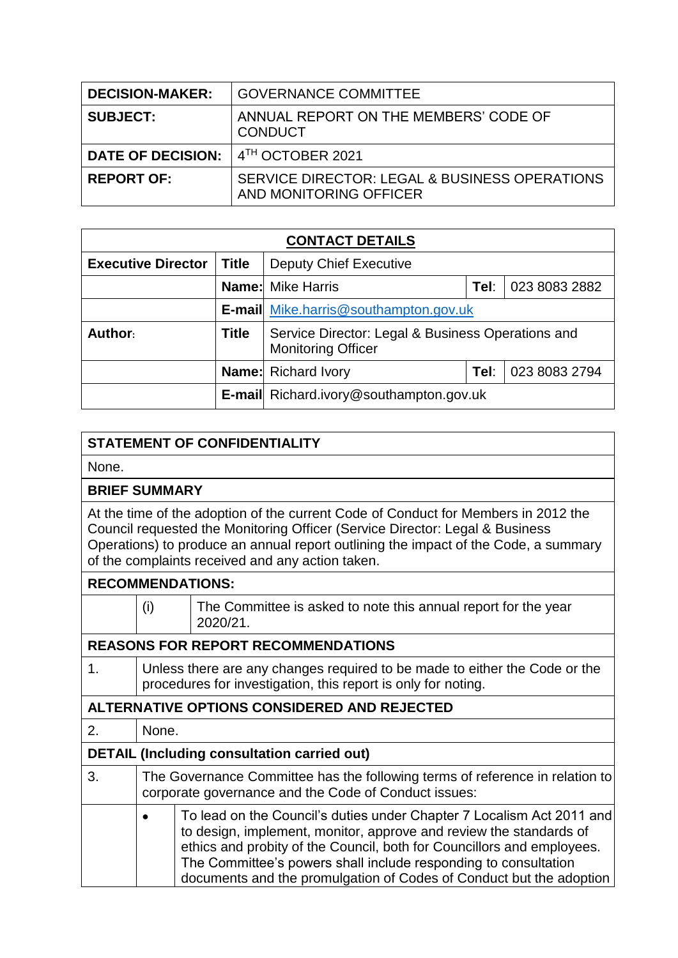| <b>DECISION-MAKER:</b>   | <b>GOVERNANCE COMMITTEE</b>                                             |
|--------------------------|-------------------------------------------------------------------------|
| <b>SUBJECT:</b>          | ANNUAL REPORT ON THE MEMBERS' CODE OF<br><b>CONDUCT</b>                 |
| <b>DATE OF DECISION:</b> | 4TH OCTOBER 2021                                                        |
| <b>REPORT OF:</b>        | SERVICE DIRECTOR: LEGAL & BUSINESS OPERATIONS<br>AND MONITORING OFFICER |

| <b>CONTACT DETAILS</b>    |              |                                                                                |      |               |  |  |
|---------------------------|--------------|--------------------------------------------------------------------------------|------|---------------|--|--|
| <b>Executive Director</b> | <b>Title</b> | <b>Deputy Chief Executive</b>                                                  |      |               |  |  |
|                           |              | <b>Name:</b> Mike Harris<br>023 8083 2882<br>Tel:                              |      |               |  |  |
|                           |              | <b>E-mail</b> Mike.harris@southampton.gov.uk                                   |      |               |  |  |
| Author:                   | <b>Title</b> | Service Director: Legal & Business Operations and<br><b>Monitoring Officer</b> |      |               |  |  |
|                           |              | <b>Name:</b> Richard Ivory                                                     | Tel: | 023 8083 2794 |  |  |
|                           |              | <b>E-mail</b> Richard.ivory@southampton.gov.uk                                 |      |               |  |  |

## **STATEMENT OF CONFIDENTIALITY**

None.

## **BRIEF SUMMARY**

At the time of the adoption of the current Code of Conduct for Members in 2012 the Council requested the Monitoring Officer (Service Director: Legal & Business Operations) to produce an annual report outlining the impact of the Code, a summary of the complaints received and any action taken.

| <b>RECOMMENDATIONS:</b>                            |                                                                                                                                             |                                                                                                                                                                                                                                                                                                                                                                 |  |  |
|----------------------------------------------------|---------------------------------------------------------------------------------------------------------------------------------------------|-----------------------------------------------------------------------------------------------------------------------------------------------------------------------------------------------------------------------------------------------------------------------------------------------------------------------------------------------------------------|--|--|
|                                                    | (i)                                                                                                                                         | The Committee is asked to note this annual report for the year<br>2020/21.                                                                                                                                                                                                                                                                                      |  |  |
|                                                    |                                                                                                                                             | <b>REASONS FOR REPORT RECOMMENDATIONS</b>                                                                                                                                                                                                                                                                                                                       |  |  |
| $\mathbf{1}$ .                                     | Unless there are any changes required to be made to either the Code or the<br>procedures for investigation, this report is only for noting. |                                                                                                                                                                                                                                                                                                                                                                 |  |  |
| ALTERNATIVE OPTIONS CONSIDERED AND REJECTED        |                                                                                                                                             |                                                                                                                                                                                                                                                                                                                                                                 |  |  |
| 2.                                                 | None.                                                                                                                                       |                                                                                                                                                                                                                                                                                                                                                                 |  |  |
| <b>DETAIL (Including consultation carried out)</b> |                                                                                                                                             |                                                                                                                                                                                                                                                                                                                                                                 |  |  |
| 3.                                                 | The Governance Committee has the following terms of reference in relation to<br>corporate governance and the Code of Conduct issues:        |                                                                                                                                                                                                                                                                                                                                                                 |  |  |
|                                                    |                                                                                                                                             | To lead on the Council's duties under Chapter 7 Localism Act 2011 and<br>to design, implement, monitor, approve and review the standards of<br>ethics and probity of the Council, both for Councillors and employees.<br>The Committee's powers shall include responding to consultation<br>documents and the promulgation of Codes of Conduct but the adoption |  |  |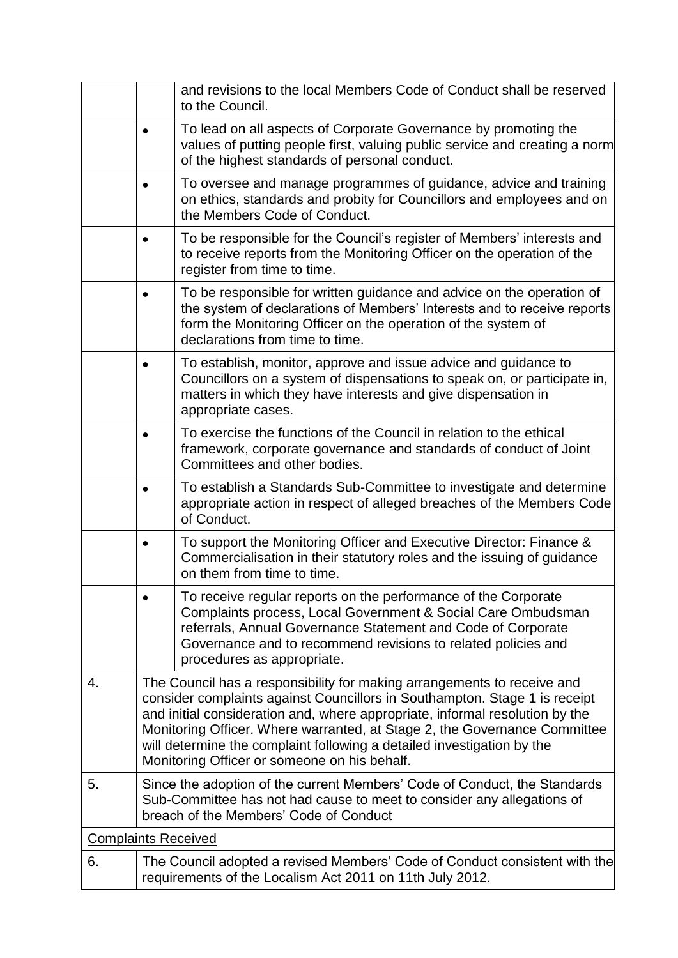|                                                                                                                                                                                                                                                                                                                                                                                                                                              | and revisions to the local Members Code of Conduct shall be reserved<br>to the Council.                                                                                                                                                                                                       |  |  |
|----------------------------------------------------------------------------------------------------------------------------------------------------------------------------------------------------------------------------------------------------------------------------------------------------------------------------------------------------------------------------------------------------------------------------------------------|-----------------------------------------------------------------------------------------------------------------------------------------------------------------------------------------------------------------------------------------------------------------------------------------------|--|--|
|                                                                                                                                                                                                                                                                                                                                                                                                                                              | To lead on all aspects of Corporate Governance by promoting the<br>values of putting people first, valuing public service and creating a norm<br>of the highest standards of personal conduct.                                                                                                |  |  |
|                                                                                                                                                                                                                                                                                                                                                                                                                                              | To oversee and manage programmes of guidance, advice and training<br>on ethics, standards and probity for Councillors and employees and on<br>the Members Code of Conduct.                                                                                                                    |  |  |
|                                                                                                                                                                                                                                                                                                                                                                                                                                              | To be responsible for the Council's register of Members' interests and<br>to receive reports from the Monitoring Officer on the operation of the<br>register from time to time.                                                                                                               |  |  |
|                                                                                                                                                                                                                                                                                                                                                                                                                                              | To be responsible for written guidance and advice on the operation of<br>the system of declarations of Members' Interests and to receive reports<br>form the Monitoring Officer on the operation of the system of<br>declarations from time to time.                                          |  |  |
|                                                                                                                                                                                                                                                                                                                                                                                                                                              | To establish, monitor, approve and issue advice and guidance to<br>Councillors on a system of dispensations to speak on, or participate in,<br>matters in which they have interests and give dispensation in<br>appropriate cases.                                                            |  |  |
|                                                                                                                                                                                                                                                                                                                                                                                                                                              | To exercise the functions of the Council in relation to the ethical<br>framework, corporate governance and standards of conduct of Joint<br>Committees and other bodies.                                                                                                                      |  |  |
|                                                                                                                                                                                                                                                                                                                                                                                                                                              | To establish a Standards Sub-Committee to investigate and determine<br>appropriate action in respect of alleged breaches of the Members Code<br>of Conduct.                                                                                                                                   |  |  |
|                                                                                                                                                                                                                                                                                                                                                                                                                                              | To support the Monitoring Officer and Executive Director: Finance &<br>Commercialisation in their statutory roles and the issuing of guidance<br>on them from time to time.                                                                                                                   |  |  |
|                                                                                                                                                                                                                                                                                                                                                                                                                                              | To receive regular reports on the performance of the Corporate<br>Complaints process, Local Government & Social Care Ombudsman<br>referrals, Annual Governance Statement and Code of Corporate<br>Governance and to recommend revisions to related policies and<br>procedures as appropriate. |  |  |
| The Council has a responsibility for making arrangements to receive and<br>consider complaints against Councillors in Southampton. Stage 1 is receipt<br>and initial consideration and, where appropriate, informal resolution by the<br>Monitoring Officer. Where warranted, at Stage 2, the Governance Committee<br>will determine the complaint following a detailed investigation by the<br>Monitoring Officer or someone on his behalf. |                                                                                                                                                                                                                                                                                               |  |  |
| Since the adoption of the current Members' Code of Conduct, the Standards<br>Sub-Committee has not had cause to meet to consider any allegations of<br>breach of the Members' Code of Conduct                                                                                                                                                                                                                                                |                                                                                                                                                                                                                                                                                               |  |  |
| <b>Complaints Received</b>                                                                                                                                                                                                                                                                                                                                                                                                                   |                                                                                                                                                                                                                                                                                               |  |  |
|                                                                                                                                                                                                                                                                                                                                                                                                                                              | The Council adopted a revised Members' Code of Conduct consistent with the<br>requirements of the Localism Act 2011 on 11th July 2012.                                                                                                                                                        |  |  |
|                                                                                                                                                                                                                                                                                                                                                                                                                                              |                                                                                                                                                                                                                                                                                               |  |  |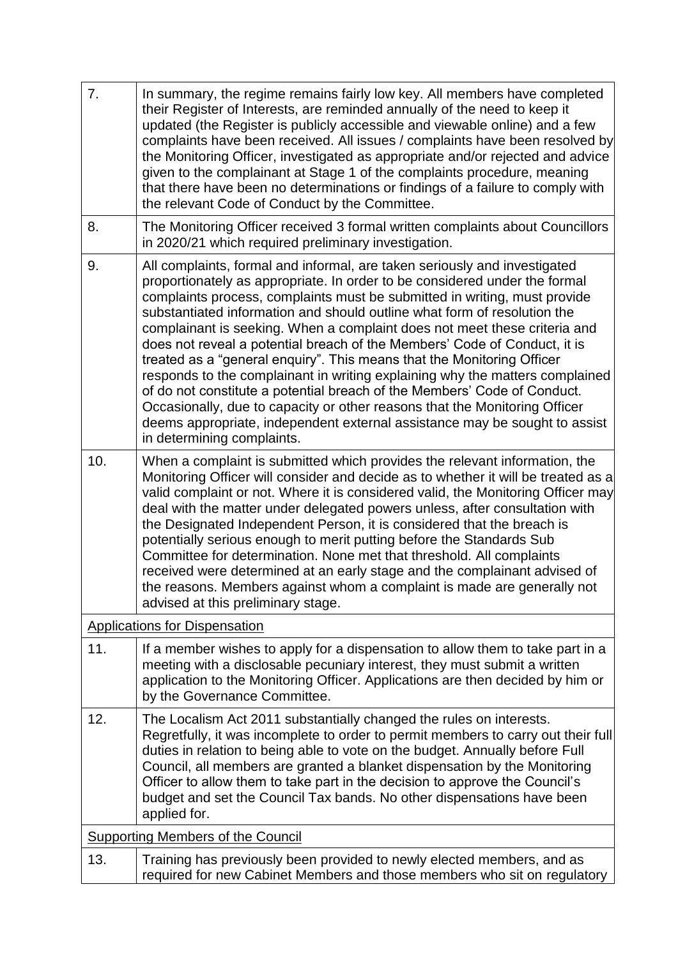| 7.                                       | In summary, the regime remains fairly low key. All members have completed<br>their Register of Interests, are reminded annually of the need to keep it<br>updated (the Register is publicly accessible and viewable online) and a few<br>complaints have been received. All issues / complaints have been resolved by<br>the Monitoring Officer, investigated as appropriate and/or rejected and advice<br>given to the complainant at Stage 1 of the complaints procedure, meaning<br>that there have been no determinations or findings of a failure to comply with<br>the relevant Code of Conduct by the Committee.                                                                                                                                                                                                                                                                                    |  |  |
|------------------------------------------|------------------------------------------------------------------------------------------------------------------------------------------------------------------------------------------------------------------------------------------------------------------------------------------------------------------------------------------------------------------------------------------------------------------------------------------------------------------------------------------------------------------------------------------------------------------------------------------------------------------------------------------------------------------------------------------------------------------------------------------------------------------------------------------------------------------------------------------------------------------------------------------------------------|--|--|
| 8.                                       | The Monitoring Officer received 3 formal written complaints about Councillors<br>in 2020/21 which required preliminary investigation.                                                                                                                                                                                                                                                                                                                                                                                                                                                                                                                                                                                                                                                                                                                                                                      |  |  |
| 9.                                       | All complaints, formal and informal, are taken seriously and investigated<br>proportionately as appropriate. In order to be considered under the formal<br>complaints process, complaints must be submitted in writing, must provide<br>substantiated information and should outline what form of resolution the<br>complainant is seeking. When a complaint does not meet these criteria and<br>does not reveal a potential breach of the Members' Code of Conduct, it is<br>treated as a "general enquiry". This means that the Monitoring Officer<br>responds to the complainant in writing explaining why the matters complained<br>of do not constitute a potential breach of the Members' Code of Conduct.<br>Occasionally, due to capacity or other reasons that the Monitoring Officer<br>deems appropriate, independent external assistance may be sought to assist<br>in determining complaints. |  |  |
| 10.                                      | When a complaint is submitted which provides the relevant information, the<br>Monitoring Officer will consider and decide as to whether it will be treated as a<br>valid complaint or not. Where it is considered valid, the Monitoring Officer may<br>deal with the matter under delegated powers unless, after consultation with<br>the Designated Independent Person, it is considered that the breach is<br>potentially serious enough to merit putting before the Standards Sub<br>Committee for determination. None met that threshold. All complaints<br>received were determined at an early stage and the complainant advised of<br>the reasons. Members against whom a complaint is made are generally not<br>advised at this preliminary stage.                                                                                                                                                 |  |  |
|                                          | <b>Applications for Dispensation</b>                                                                                                                                                                                                                                                                                                                                                                                                                                                                                                                                                                                                                                                                                                                                                                                                                                                                       |  |  |
| 11.                                      | If a member wishes to apply for a dispensation to allow them to take part in a<br>meeting with a disclosable pecuniary interest, they must submit a written<br>application to the Monitoring Officer. Applications are then decided by him or<br>by the Governance Committee.                                                                                                                                                                                                                                                                                                                                                                                                                                                                                                                                                                                                                              |  |  |
| 12.                                      | The Localism Act 2011 substantially changed the rules on interests.<br>Regretfully, it was incomplete to order to permit members to carry out their full<br>duties in relation to being able to vote on the budget. Annually before Full<br>Council, all members are granted a blanket dispensation by the Monitoring<br>Officer to allow them to take part in the decision to approve the Council's<br>budget and set the Council Tax bands. No other dispensations have been<br>applied for.                                                                                                                                                                                                                                                                                                                                                                                                             |  |  |
| <b>Supporting Members of the Council</b> |                                                                                                                                                                                                                                                                                                                                                                                                                                                                                                                                                                                                                                                                                                                                                                                                                                                                                                            |  |  |
| 13.                                      | Training has previously been provided to newly elected members, and as<br>required for new Cabinet Members and those members who sit on regulatory                                                                                                                                                                                                                                                                                                                                                                                                                                                                                                                                                                                                                                                                                                                                                         |  |  |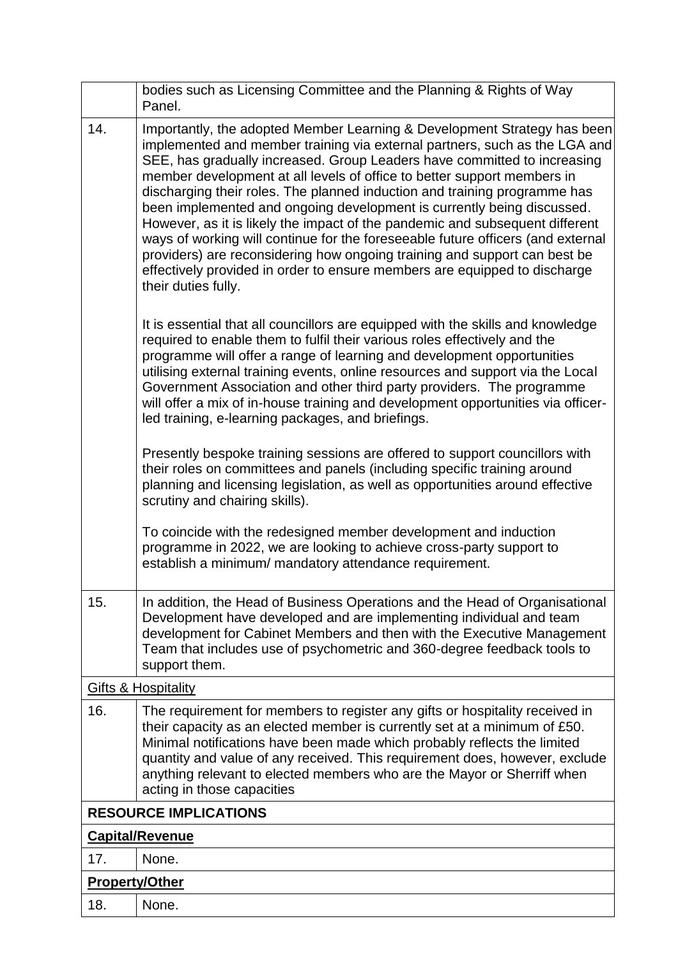|                              | bodies such as Licensing Committee and the Planning & Rights of Way<br>Panel.                                                                                                                                                                                                                                                                                                                                                                                                                                                                                                                                                                                                                                                                                                                                            |  |  |
|------------------------------|--------------------------------------------------------------------------------------------------------------------------------------------------------------------------------------------------------------------------------------------------------------------------------------------------------------------------------------------------------------------------------------------------------------------------------------------------------------------------------------------------------------------------------------------------------------------------------------------------------------------------------------------------------------------------------------------------------------------------------------------------------------------------------------------------------------------------|--|--|
| 14.                          | Importantly, the adopted Member Learning & Development Strategy has been<br>implemented and member training via external partners, such as the LGA and<br>SEE, has gradually increased. Group Leaders have committed to increasing<br>member development at all levels of office to better support members in<br>discharging their roles. The planned induction and training programme has<br>been implemented and ongoing development is currently being discussed.<br>However, as it is likely the impact of the pandemic and subsequent different<br>ways of working will continue for the foreseeable future officers (and external<br>providers) are reconsidering how ongoing training and support can best be<br>effectively provided in order to ensure members are equipped to discharge<br>their duties fully. |  |  |
|                              | It is essential that all councillors are equipped with the skills and knowledge<br>required to enable them to fulfil their various roles effectively and the<br>programme will offer a range of learning and development opportunities<br>utilising external training events, online resources and support via the Local<br>Government Association and other third party providers. The programme<br>will offer a mix of in-house training and development opportunities via officer-<br>led training, e-learning packages, and briefings.                                                                                                                                                                                                                                                                               |  |  |
|                              | Presently bespoke training sessions are offered to support councillors with<br>their roles on committees and panels (including specific training around<br>planning and licensing legislation, as well as opportunities around effective<br>scrutiny and chairing skills).                                                                                                                                                                                                                                                                                                                                                                                                                                                                                                                                               |  |  |
|                              | To coincide with the redesigned member development and induction<br>programme in 2022, we are looking to achieve cross-party support to<br>establish a minimum/ mandatory attendance requirement.                                                                                                                                                                                                                                                                                                                                                                                                                                                                                                                                                                                                                        |  |  |
| 15.                          | In addition, the Head of Business Operations and the Head of Organisational<br>Development have developed and are implementing individual and team<br>development for Cabinet Members and then with the Executive Management<br>Team that includes use of psychometric and 360-degree feedback tools to<br>support them.                                                                                                                                                                                                                                                                                                                                                                                                                                                                                                 |  |  |
|                              | <b>Gifts &amp; Hospitality</b>                                                                                                                                                                                                                                                                                                                                                                                                                                                                                                                                                                                                                                                                                                                                                                                           |  |  |
| 16.                          | The requirement for members to register any gifts or hospitality received in<br>their capacity as an elected member is currently set at a minimum of £50.<br>Minimal notifications have been made which probably reflects the limited<br>quantity and value of any received. This requirement does, however, exclude<br>anything relevant to elected members who are the Mayor or Sherriff when<br>acting in those capacities                                                                                                                                                                                                                                                                                                                                                                                            |  |  |
| <b>RESOURCE IMPLICATIONS</b> |                                                                                                                                                                                                                                                                                                                                                                                                                                                                                                                                                                                                                                                                                                                                                                                                                          |  |  |
| <b>Capital/Revenue</b>       |                                                                                                                                                                                                                                                                                                                                                                                                                                                                                                                                                                                                                                                                                                                                                                                                                          |  |  |
| 17.                          | None.                                                                                                                                                                                                                                                                                                                                                                                                                                                                                                                                                                                                                                                                                                                                                                                                                    |  |  |
|                              | <b>Property/Other</b>                                                                                                                                                                                                                                                                                                                                                                                                                                                                                                                                                                                                                                                                                                                                                                                                    |  |  |
| 18.                          | None.                                                                                                                                                                                                                                                                                                                                                                                                                                                                                                                                                                                                                                                                                                                                                                                                                    |  |  |